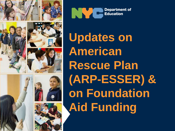





**Updates on American Rescue Plan (ARP-ESSER) & on Foundation Aid Funding**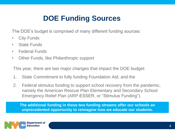# **DOE Funding Sources**

The DOE's budget is comprised of many different funding sources:

- City Funds
- State Funds
- Federal Funds
- Other Funds, like Philanthropic support

This year, there are two major changes that impact the DOE budget:

- 1. State Commitment to fully funding Foundation Aid; and the
- 2. Federal stimulus funding to support school recovery from the pandemic, namely the American Rescue Plan Elementary and Secondary School Emergency Relief Plan (ARP-ESSER, or "Stimulus Funding").

**The additional funding in these two funding streams offer our schools an unprecedented opportunity to reimagine how we educate our students.**

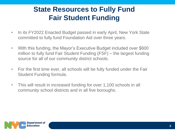## **State Resources to Fully Fund Fair Student Funding**

- In its FY2022 Enacted Budget passed in early April, New York State committed to fully fund Foundation Aid over three years.
- With this funding, the Mayor's Executive Budget included over \$600 million to fully fund Fair Student Funding (FSF) – the largest funding source for all of our community district schools.
- For the first time ever, all schools will be fully funded under the Fair Student Funding formula.
- This will result in increased funding for over 1,100 schools in all community school districts and in all five boroughs.

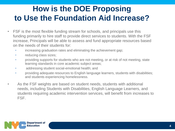# **How is the DOE Proposing to Use the Foundation Aid Increase?**

- FSF is the most flexible funding stream for schools, and principals use this funding primarily to hire staff to provide direct services to students. With the FSF increase, Principals will be able to assess and fund appropriate resources based on the needs of their students for:
	- increasing graduation rates and eliminating the achievement gap;
	- reducing class sizes;
	- providing supports for students who are not meeting, or at risk of not meeting, state learning standards in core academic subject areas;
	- addressing student social-emotional health; and
	- providing adequate resources to English language learners, students with disabilities; and students experiencing homelessness.
- As the FSF weights are based on student needs, students with additional needs, including Students with Disabilities, English Language Learners, and students requiring academic intervention services, will benefit from increases to FSF.

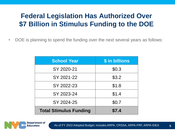## **Federal Legislation Has Authorized Over \$7 Billion in Stimulus Funding to the DOE**

• DOE is planning to spend the funding over the next several years as follows:

| <b>School Year</b>            | \$ in billions |  |
|-------------------------------|----------------|--|
| SY 2020-21                    | \$0.3          |  |
| SY 2021-22                    | \$3.2          |  |
| SY 2022-23                    | \$1.8          |  |
| SY 2023-24                    | \$1.4          |  |
| SY 2024-25                    | \$0.7          |  |
| <b>Total Stimulus Funding</b> | \$7.4          |  |

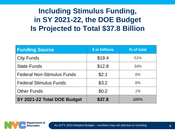## **Including Stimulus Funding, in SY 2021-22, the DOE Budget Is Projected to Total \$37.8 Billion**

| <b>Funding Source</b>             | \$ in billions | % of total |
|-----------------------------------|----------------|------------|
| <b>City Funds</b>                 | \$19.4         | 51%        |
| <b>State Funds</b>                | \$12.8         | 34%        |
| <b>Federal Non-Stimulus Funds</b> | \$2.1          | 6%         |
| <b>Federal Stimulus Funds</b>     | \$3.2          | 8%         |
| <b>Other Funds</b>                | \$0.2          | 1%         |
| SY 2021-22 Total DOE Budget       | \$37.8         | 100%       |

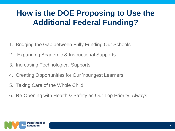# **How is the DOE Proposing to Use the Additional Federal Funding?**

- 1. Bridging the Gap between Fully Funding Our Schools
- 2. Expanding Academic & Instructional Supports
- 3. Increasing Technological Supports
- 4. Creating Opportunities for Our Youngest Learners
- 5. Taking Care of the Whole Child
- 6. Re-Opening with Health & Safety as Our Top Priority, Always

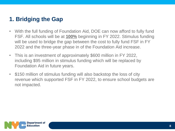### **1. Bridging the Gap**

- With the full funding of Foundation Aid, DOE can now afford to fully fund FSF. All schools will be at **100%** beginning in FY 2022. Stimulus funding will be used to bridge the gap between the cost to fully fund FSF in FY 2022 and the three-year phase in of the Foundation Aid increase.
- This is an investment of approximately \$600 million in FY 2022, including \$95 million in stimulus funding which will be replaced by Foundation Aid in future years.
- \$150 million of stimulus funding will also backstop the loss of city revenue which supported FSF in FY 2022, to ensure school budgets are not impacted.

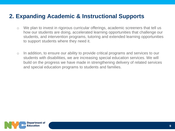### **2. Expanding Academic & Instructional Supports**

- o We plan to invest in rigorous curricular offerings, academic screeners that tell us how our students are doing, accelerated learning opportunities that challenge our students, and intervention programs, tutoring and extended learning opportunities to support students where they need it.
- o In addition, to ensure our ability to provide critical programs and services to our students with disabilities, we are increasing special education services. We will build on the progress we have made in strengthening delivery of related services and special education programs to students and families.

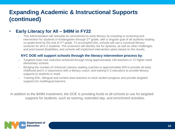#### • **Early Literacy for All – \$49M in FY22**

 $\circ$  This Administration will redouble its commitment to early literacy by investing in screening and intervention for students in Kindergarten through  $2<sup>nd</sup>$  grade, with a singular goal of all students reading on grade level by the end of  $2<sup>nd</sup>$  grade. To accomplish this, schools will use a universal literacy screener for all K-2 students. The screeners will identify risk for dyslexia, as well as other challenges and print-based disabilities, and schools will implement intervention plans based on the results.

#### **NYC DOE will support schools through the literacy intervention process by:**

- o Targeted class size reduction achieved through hiring approximately 140 teachers in 72 higher need elementary schools.
- o Bringing the number of Universal Literacy reading coaches to approximately 500 to provide all early childhood and K-2 classrooms with a literacy coach, and training K-2 educators to provide literacy supports to students in need.
- $\circ$  Training ENL, bilingual and content area teachers to track student progress and provide targeted supports for multilingual learners.

In addition to the \$49M investment, the DOE is providing funds to all schools to use for targeted supports for students, such as tutoring, extended day, and enrichment activities.

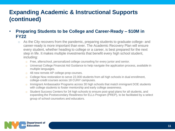- **Preparing Students to be College and Career-Ready – \$10M in FY22**
	- o As the City recovers from the pandemic, preparing students to graduate college- and career-ready is more important than ever. The Academic Recovery Plan will ensure every student, whether heading to college or a career, is best prepared for the next step in life. It makes multiple investments that benefit every high school student, including:
		- o Free, afterschool, personalized college counseling for every junior and senior.
		- o Universal College Financial Aid Guidance to help navigate the application process, available in multiple languages.
		- o 48 new remote AP college-prep courses.
		- o College Now restoration to serve 22,000 students from all high schools in dual enrollment, college-credit courses across 18 CUNY campuses.
		- o Immigrant Ambassador Programs across 30 high schools that match immigrant DOE students with college students to foster mentorship and early college awareness.
		- o Student Success Centers for 34 high schools to ensure post-grad plans for all students, and expanding the Postsecondary Readiness for ELLs Program (PREP), to be facilitated by a select group of school counselors and educators.

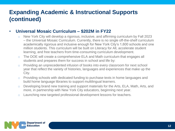#### • **Universal Mosaic Curriculum – \$202M in FY22**

- o New York City will develop a rigorous, inclusive, and affirming curriculum by Fall 2023 – the Universal Mosaic Curriculum. Currently, there is no single off-the-shelf curriculum academically rigorous and inclusive enough for New York City's 1,600 schools and one million students. This curriculum will be built on Literacy for All, accelerate student learning, and free teachers from time-consuming curriculum development.
- o The DOE will create a comprehensive ELA and Math curriculum that engages all students and prepares them for success in school and life by:
- o Providing an unprecedented infusion of books into every classroom for next school year that reflect the variety of histories, languages and experiences that make up the City.
- o Providing schools with dedicated funding to purchase texts in home languages and build home language libraries to support multilingual learners.
- o Developing brand new training and support materials for the Arts, ELA, Math, Arts, and more, in partnership with New York City educators, beginning next year.
- o Launching new targeted professional development lessons for teachers.

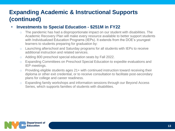#### • **Investments to Special Education - \$251M in FY22**

- $\circ$  The pandemic has had a disproportionate impact on our student with disabilities. The Academic Recovery Plan will make every resource available to better support students with Individualized Education Programs (IEPs). It extends from the DOE's youngest learners to students preparing for graduation by:
- o Launching afterschool and Saturday programs for all students with IEPs to receive additional instruction and related services.
- o Adding 800 preschool special education seats by Fall 2022.
- o Expanding Committees on Preschool Special Education to expedite evaluations and IEP meetings.
- $\circ$  Providing eligible students ages 21+ with continued instruction toward receiving their diploma or other exit credential, or to receive consultation to facilitate post-secondary plans for college and career readiness.
- o Expanding family workshops and information sessions through our Beyond Access Series, which supports families of students with disabilities.

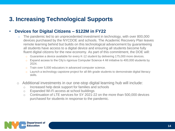### **3. Increasing Technological Supports**

#### • **Devices for Digital Citizens – \$122M in FY22**

- o The pandemic led to an unprecedented investment in technology, with over 800,000 devices purchased by the NYCDOE and schools. The Academic Recovery Plan leaves remote learning behind but builds on this technological advancement by guaranteeing all students have access to a digital device and ensuring all students become fully fluent digital citizens for the new economy. As part of this commitment, the DOE will:
	- o Guarantee a device available for every K-12 student by delivering 175,000 more devices.
	- $\circ$  Expand access to the City's rigorous Computer Science 4 All initiative to 400,000 students by 2024.
	- o Train over 5,000 educators in advanced computer science.
	- o Launch a technology capstone project for all 8th grade students to demonstrate digital literacy skills.
- o Additional investments in our one-stop digital learning hub will include:
	- o Increased help desk support for families and schools
	- o Expanded Wi-Fi access at school buildings
	- o Continuation of LTE services for SY 2021-22 on the more than 500,000 devices purchased for students in response to the pandemic.

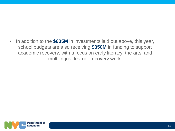• In addition to the **\$635M** in investments laid out above, this year, school budgets are also receiving **\$350M** in funding to support academic recovery, with a focus on early literacy, the arts, and multilingual learner recovery work.

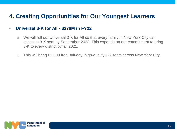### **4. Creating Opportunities for Our Youngest Learners**

#### • **Universal 3-K for All - \$378M in FY22**

- o We will roll out Universal 3-K for All so that every family in New York City can access a 3-K seat by September 2023. This expands on our commitment to bring 3-K to every district by fall 2021.
- o This will bring 61,000 free, full-day, high-quality 3-K seats across New York City.

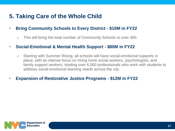### **5. Taking Care of the Whole Child**

- **Bring Community Schools to Every District - \$10M in FY22**
	- o This will bring the total number of Community Schools to over 400.

#### • **Social-Emotional & Mental Health Support - \$80M in FY22**

- o Starting with Summer Rising, all schools will have social-emotional supports in place, with an intense focus on hiring more social workers, psychologists, and family support workers, totaling over 6,000 professionals who work with students to address social-emotional learning needs across the city.
- **Expansion of Restorative Justice Programs - \$12M in FY22**

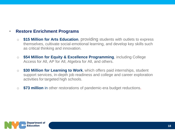#### • **Restore Enrichment Programs**

- o **\$15 Million for Arts Education**, providing students with outlets to express themselves, cultivate social-emotional learning, and develop key skills such as critical thinking and innovation.
- o **\$54 Million for Equity & Excellence Programming**, including College Access for All, AP for All, Algebra for All, and others.
- o **\$30 Million for Learning to Work**, which offers paid internships, student support services, in-depth job readiness and college and career exploration activities for targeted high schools.
- o **\$73 million** in other restorations of pandemic-era budget reductions.

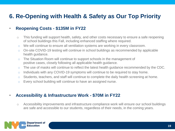### **6. Re-Opening with Health & Safety as Our Top Priority**

#### • **Reopening Costs - \$135M in FY22**

- o This funding will support health, safety, and other costs necessary to ensure a safe reopening of school buildings this Fall, including enhanced staffing where required.
- o We will continue to ensure all ventilation systems are working in every classroom.
- o On-site COVID-19 testing will continue in school buildings as recommended by applicable health guidance.
- o The Situation Room will continue to support schools in the management of positive cases, closely following all applicable health guidance.
- o The use of masks will continue to reflect the latest health guidance recommended by the CDC.
- $\circ$  Individuals with any COVID-19 symptoms will continue to be required to stay home.
- o Students, teachers, and staff will continue to complete the daily health screening at home.
- o Every school building will continue to have an assigned nurse.

#### • **Accessibility & Infrastructure Work - \$70M in FY22**

o Accessibility improvements and infrastructure compliance work will ensure our school buildings are safe and accessible to our students, regardless of their needs, in the coming years.

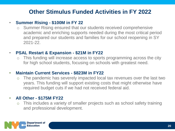### **Other Stimulus Funded Activities in FY 2022**

#### • **Summer Rising - \$100M in FY 22**

Summer Rising ensured that our students received comprehensive academic and enriching supports needed during the most critical period and prepared our students and families for our school reopening in SY 2021-22.

#### • **PSAL Restart & Expansion - \$21M in FY22**

o This funding will increase access to sports programming across the city for high school students, focusing on schools with greatest need.

#### • **Maintain Current Services - \$823M in FY22**

o The pandemic has severely impacted local tax revenues over the last two years. This funding will support existing costs that might otherwise have required budget cuts if we had not received federal aid.

#### • **All Other - \$175M FY22**

This includes a variety of smaller projects such as school safety training and professional development.